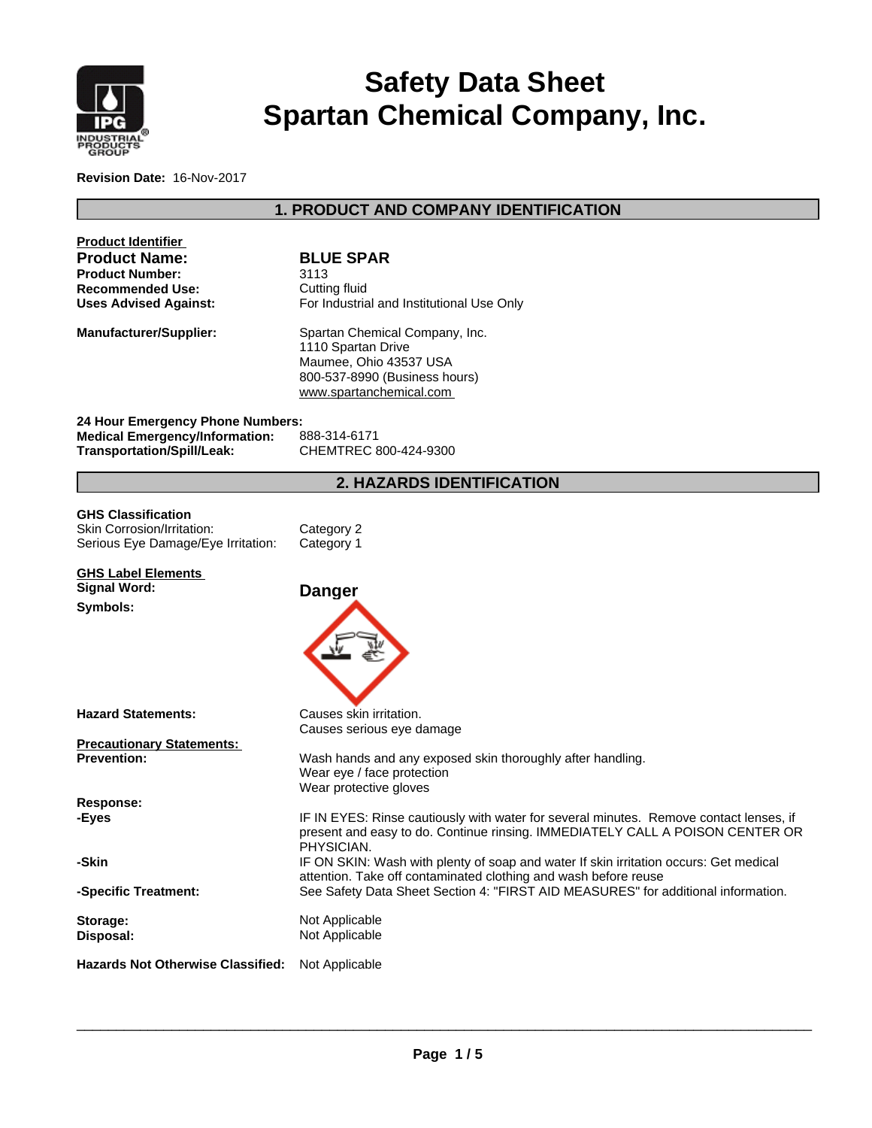

# **Safety Data Sheet Spartan Chemical Company, Inc.**

**Revision Date:** 16-Nov-2017

# **1. PRODUCT AND COMPANY IDENTIFICATION**

| <b>Product Identifier</b><br><b>Product Name:</b><br><b>Product Number:</b><br><b>Recommended Use:</b>  | <b>BLUE SPAR</b><br>3113<br>Cutting fluid                                                                                                                                               |
|---------------------------------------------------------------------------------------------------------|-----------------------------------------------------------------------------------------------------------------------------------------------------------------------------------------|
| <b>Uses Advised Against:</b><br><b>Manufacturer/Supplier:</b>                                           | For Industrial and Institutional Use Only<br>Spartan Chemical Company, Inc.<br>1110 Spartan Drive<br>Maumee, Ohio 43537 USA<br>800-537-8990 (Business hours)<br>www.spartanchemical.com |
| 24 Hour Emergency Phone Numbers:<br><b>Medical Emergency/Information:</b><br>Transportation/Spill/Leak: | 888-314-6171<br>CHEMTREC 800-424-9300                                                                                                                                                   |
|                                                                                                         | 2. HAZARDS IDENTIFICATION                                                                                                                                                               |
| <b>GHS Classification</b><br>Skin Corrosion/Irritation:<br>Serious Eye Damage/Eye Irritation:           | Category 2<br>Category 1                                                                                                                                                                |
| <b>GHS Label Elements</b><br><b>Signal Word:</b><br>Symbols:                                            | <b>Danger</b>                                                                                                                                                                           |
| <b>Hazard Statements:</b>                                                                               | Causes skin irritation.<br>Causes serious eye damage                                                                                                                                    |
| <b>Precautionary Statements:</b><br><b>Prevention:</b>                                                  | Wash hands and any exposed skin thoroughly after handling.<br>Wear eye / face protection<br>Wear protective gloves                                                                      |
| Response:<br>-Eyes                                                                                      | IF IN EYES: Rinse cautiously with water for several minutes. Remove contact lenses, if<br>present and easy to do. Continue rinsing. IMMEDIATELY CALL A POISON CENTER OR<br>PHYSICIAN.   |
| -Skin                                                                                                   | IF ON SKIN: Wash with plenty of soap and water If skin irritation occurs: Get medical<br>attention. Take off contaminated clothing and wash before reuse                                |
| -Specific Treatment:                                                                                    | See Safety Data Sheet Section 4: "FIRST AID MEASURES" for additional information.                                                                                                       |
| Storage:<br>Disposal:                                                                                   | Not Applicable<br>Not Applicable                                                                                                                                                        |
| Hazards Not Otherwise Classified:                                                                       | Not Applicable                                                                                                                                                                          |

 $\overline{\phantom{a}}$  ,  $\overline{\phantom{a}}$  ,  $\overline{\phantom{a}}$  ,  $\overline{\phantom{a}}$  ,  $\overline{\phantom{a}}$  ,  $\overline{\phantom{a}}$  ,  $\overline{\phantom{a}}$  ,  $\overline{\phantom{a}}$  ,  $\overline{\phantom{a}}$  ,  $\overline{\phantom{a}}$  ,  $\overline{\phantom{a}}$  ,  $\overline{\phantom{a}}$  ,  $\overline{\phantom{a}}$  ,  $\overline{\phantom{a}}$  ,  $\overline{\phantom{a}}$  ,  $\overline{\phantom{a}}$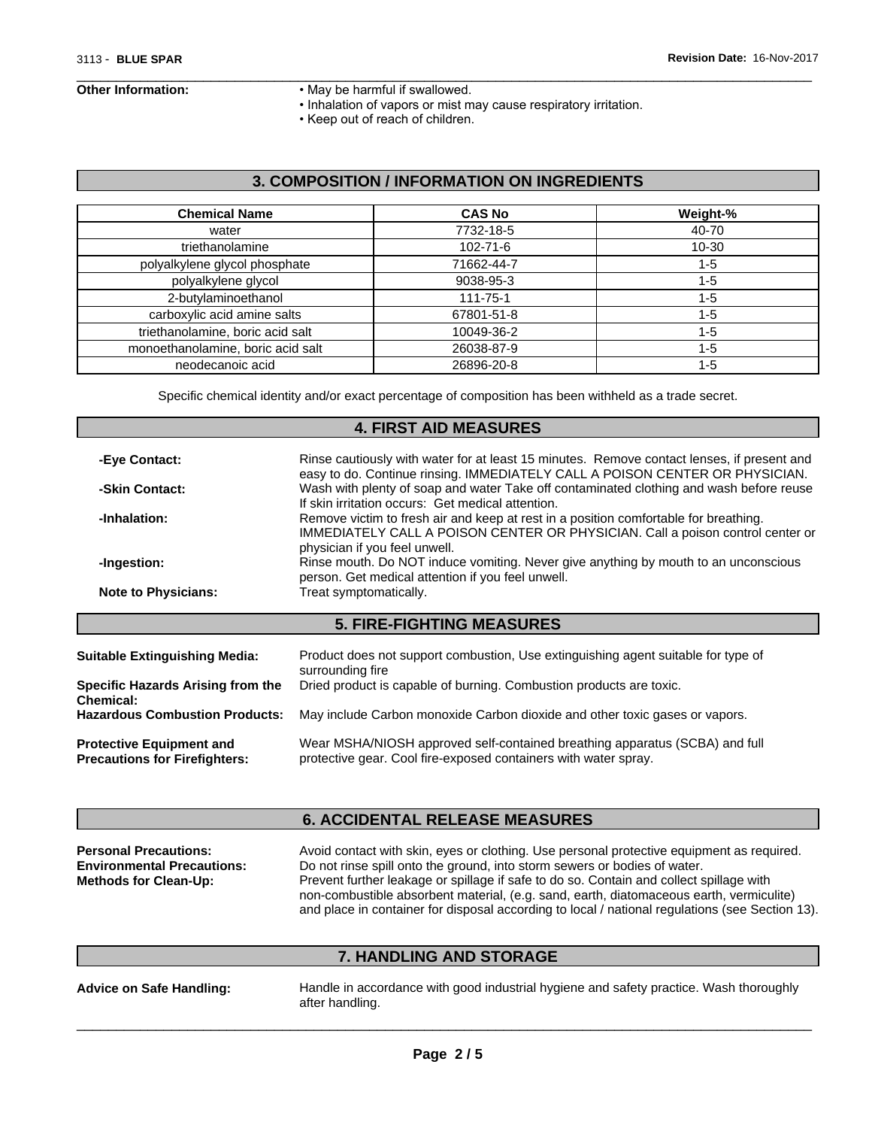- **Other Information:** May be harmful if swallowed.
	- Inhalation of vapors or mist may cause respiratory irritation.

 $\overline{\phantom{a}}$  ,  $\overline{\phantom{a}}$  ,  $\overline{\phantom{a}}$  ,  $\overline{\phantom{a}}$  ,  $\overline{\phantom{a}}$  ,  $\overline{\phantom{a}}$  ,  $\overline{\phantom{a}}$  ,  $\overline{\phantom{a}}$  ,  $\overline{\phantom{a}}$  ,  $\overline{\phantom{a}}$  ,  $\overline{\phantom{a}}$  ,  $\overline{\phantom{a}}$  ,  $\overline{\phantom{a}}$  ,  $\overline{\phantom{a}}$  ,  $\overline{\phantom{a}}$  ,  $\overline{\phantom{a}}$ 

• Keep out of reach of children.

### **3. COMPOSITION / INFORMATION ON INGREDIENTS**

| <b>Chemical Name</b>              | <b>CAS No</b>  | Weight-%  |
|-----------------------------------|----------------|-----------|
| water                             | 7732-18-5      | 40-70     |
| triethanolamine                   | $102 - 71 - 6$ | $10 - 30$ |
| polyalkylene glycol phosphate     | 71662-44-7     | $1 - 5$   |
| polyalkylene glycol               | 9038-95-3      | $1 - 5$   |
| 2-butylaminoethanol               | $111 - 75 - 1$ | $1 - 5$   |
| carboxylic acid amine salts       | 67801-51-8     | $1 - 5$   |
| triethanolamine, boric acid salt  | 10049-36-2     | $1 - 5$   |
| monoethanolamine, boric acid salt | 26038-87-9     | $1 - 5$   |
| neodecanoic acid                  | 26896-20-8     | $1 - 5$   |

Specific chemical identity and/or exact percentage of composition has been withheld as a trade secret.

#### **4. FIRST AID MEASURES**

| Rinse cautiously with water for at least 15 minutes. Remove contact lenses, if present and<br>-Eye Contact:<br>easy to do. Continue rinsing. IMMEDIATELY CALL A POISON CENTER OR PHYSICIAN. |                                                                                                                                                                                                         |  |  |
|---------------------------------------------------------------------------------------------------------------------------------------------------------------------------------------------|---------------------------------------------------------------------------------------------------------------------------------------------------------------------------------------------------------|--|--|
| -Skin Contact:                                                                                                                                                                              | Wash with plenty of soap and water Take off contaminated clothing and wash before reuse<br>If skin irritation occurs: Get medical attention.                                                            |  |  |
| -Inhalation:                                                                                                                                                                                | Remove victim to fresh air and keep at rest in a position comfortable for breathing.<br>IMMEDIATELY CALL A POISON CENTER OR PHYSICIAN. Call a poison control center or<br>physician if you feel unwell. |  |  |
| -Ingestion:                                                                                                                                                                                 | Rinse mouth. Do NOT induce vomiting. Never give anything by mouth to an unconscious<br>person. Get medical attention if you feel unwell.                                                                |  |  |
| <b>Note to Physicians:</b>                                                                                                                                                                  | Treat symptomatically.                                                                                                                                                                                  |  |  |
|                                                                                                                                                                                             | <b>5. FIRE-FIGHTING MEASURES</b>                                                                                                                                                                        |  |  |
| <b>Suitable Extinguishing Media:</b>                                                                                                                                                        | Product does not support combustion, Use extinguishing agent suitable for type of<br>surrounding fire                                                                                                   |  |  |
| <b>Specific Hazards Arising from the</b><br>Chemical:                                                                                                                                       | Dried product is capable of burning. Combustion products are toxic.                                                                                                                                     |  |  |
| <b>Hazardous Combustion Products:</b>                                                                                                                                                       | May include Carbon monoxide Carbon dioxide and other toxic gases or vapors.                                                                                                                             |  |  |
| <b>Protective Equipment and</b><br><b>Precautions for Firefighters:</b>                                                                                                                     | Wear MSHA/NIOSH approved self-contained breathing apparatus (SCBA) and full<br>protective gear. Cool fire-exposed containers with water spray.                                                          |  |  |

## **6. ACCIDENTAL RELEASE MEASURES**

| <b>Personal Precautions:</b>      | Avoid contact with skin, eyes or clothing. Use personal protective equipment as required.       |
|-----------------------------------|-------------------------------------------------------------------------------------------------|
| <b>Environmental Precautions:</b> | Do not rinse spill onto the ground, into storm sewers or bodies of water.                       |
| <b>Methods for Clean-Up:</b>      | Prevent further leakage or spillage if safe to do so. Contain and collect spillage with         |
|                                   | non-combustible absorbent material, (e.g. sand, earth, diatomaceous earth, vermiculite)         |
|                                   | and place in container for disposal according to local / national regulations (see Section 13). |

# **7. HANDLING AND STORAGE**

**Advice on Safe Handling:** Handle in accordance with good industrial hygiene and safety practice. Wash thoroughly after handling.

 $\overline{\phantom{a}}$  ,  $\overline{\phantom{a}}$  ,  $\overline{\phantom{a}}$  ,  $\overline{\phantom{a}}$  ,  $\overline{\phantom{a}}$  ,  $\overline{\phantom{a}}$  ,  $\overline{\phantom{a}}$  ,  $\overline{\phantom{a}}$  ,  $\overline{\phantom{a}}$  ,  $\overline{\phantom{a}}$  ,  $\overline{\phantom{a}}$  ,  $\overline{\phantom{a}}$  ,  $\overline{\phantom{a}}$  ,  $\overline{\phantom{a}}$  ,  $\overline{\phantom{a}}$  ,  $\overline{\phantom{a}}$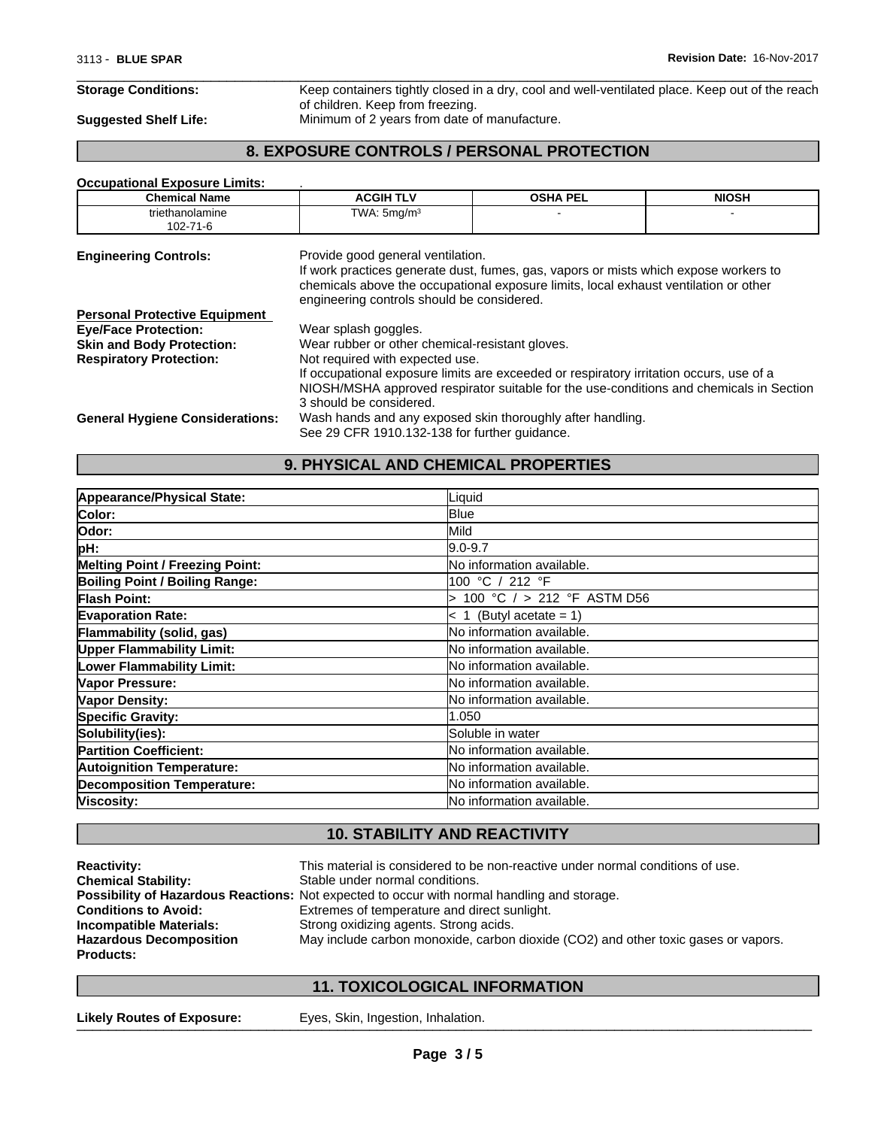$\overline{\phantom{a}}$  ,  $\overline{\phantom{a}}$  ,  $\overline{\phantom{a}}$  ,  $\overline{\phantom{a}}$  ,  $\overline{\phantom{a}}$  ,  $\overline{\phantom{a}}$  ,  $\overline{\phantom{a}}$  ,  $\overline{\phantom{a}}$  ,  $\overline{\phantom{a}}$  ,  $\overline{\phantom{a}}$  ,  $\overline{\phantom{a}}$  ,  $\overline{\phantom{a}}$  ,  $\overline{\phantom{a}}$  ,  $\overline{\phantom{a}}$  ,  $\overline{\phantom{a}}$  ,  $\overline{\phantom{a}}$ **Storage Conditions:** Keep containers tightly closed in a dry, cool and well-ventilated place. Keep out of the reach of children. Keep from freezing. **Suggested Shelf Life:** Minimum of 2 years from date of manufacture.

### **8. EXPOSURE CONTROLS / PERSONAL PROTECTION**

#### **Occupational Exposure Limits:** .

| <b>Chemical Name</b>                   | <b>ACGIH TLV</b>                                                                                                                                                                                                           | <b>OSHA PEL</b> | <b>NIOSH</b> |  |  |
|----------------------------------------|----------------------------------------------------------------------------------------------------------------------------------------------------------------------------------------------------------------------------|-----------------|--------------|--|--|
| triethanolamine<br>$102 - 71 - 6$      | TWA: $5 \text{mq/m}^3$                                                                                                                                                                                                     |                 |              |  |  |
| <b>Engineering Controls:</b>           | Provide good general ventilation.                                                                                                                                                                                          |                 |              |  |  |
|                                        | If work practices generate dust, fumes, gas, vapors or mists which expose workers to<br>chemicals above the occupational exposure limits, local exhaust ventilation or other<br>engineering controls should be considered. |                 |              |  |  |
| <b>Personal Protective Equipment</b>   |                                                                                                                                                                                                                            |                 |              |  |  |
| <b>Eye/Face Protection:</b>            | Wear splash goggles.                                                                                                                                                                                                       |                 |              |  |  |
| <b>Skin and Body Protection:</b>       | Wear rubber or other chemical-resistant gloves.                                                                                                                                                                            |                 |              |  |  |
| <b>Respiratory Protection:</b>         | Not required with expected use.                                                                                                                                                                                            |                 |              |  |  |
|                                        | If occupational exposure limits are exceeded or respiratory irritation occurs, use of a                                                                                                                                    |                 |              |  |  |
|                                        | NIOSH/MSHA approved respirator suitable for the use-conditions and chemicals in Section                                                                                                                                    |                 |              |  |  |
|                                        | 3 should be considered.                                                                                                                                                                                                    |                 |              |  |  |
| <b>General Hygiene Considerations:</b> | Wash hands and any exposed skin thoroughly after handling.                                                                                                                                                                 |                 |              |  |  |
|                                        | See 29 CFR 1910.132-138 for further guidance.                                                                                                                                                                              |                 |              |  |  |

# **9. PHYSICAL AND CHEMICAL PROPERTIES**

| Appearance/Physical State:             | Liquid                            |
|----------------------------------------|-----------------------------------|
| Color:                                 | <b>B</b> lue                      |
| Odor:                                  | Mild                              |
| pH:                                    | l9.0-9.7                          |
| <b>Melting Point / Freezing Point:</b> | <b>No information available.</b>  |
| Boiling Point / Boiling Range:         | 100 °C / 212 °F                   |
| <b>Flash Point:</b>                    | 100 °C $/$ > 212 °F ASTM D56      |
| <b>Evaporation Rate:</b>               | $\vert$ < 1 (Butyl acetate = 1)   |
| Flammability (solid, gas)              | No information available.         |
| <b>Upper Flammability Limit:</b>       | No information available.         |
| <b>Lower Flammability Limit:</b>       | No information available.         |
| Vapor Pressure:                        | <b>No information available.</b>  |
| <b>Vapor Density:</b>                  | <b>No information available.</b>  |
| <b>Specific Gravity:</b>               | 1.050                             |
| Solubility(ies):                       | Soluble in water                  |
| <b>Partition Coefficient:</b>          | No information available.         |
| <b>Autoignition Temperature:</b>       | No information available.         |
| <b>Decomposition Temperature:</b>      | <b>INo information available.</b> |
| Viscosity:                             | <b>INo information available.</b> |

# **10. STABILITY AND REACTIVITY**

| <b>Reactivity:</b>             | This material is considered to be non-reactive under normal conditions of use.                     |
|--------------------------------|----------------------------------------------------------------------------------------------------|
| <b>Chemical Stability:</b>     | Stable under normal conditions.                                                                    |
|                                | <b>Possibility of Hazardous Reactions:</b> Not expected to occur with normal handling and storage. |
| <b>Conditions to Avoid:</b>    | Extremes of temperature and direct sunlight.                                                       |
| <b>Incompatible Materials:</b> | Strong oxidizing agents. Strong acids.                                                             |
| <b>Hazardous Decomposition</b> | May include carbon monoxide, carbon dioxide (CO2) and other toxic gases or vapors.                 |
| <b>Products:</b>               |                                                                                                    |

# **11. TOXICOLOGICAL INFORMATION**

Likely Routes of Exposure: Eyes, Skin, Ingestion, Inhalation.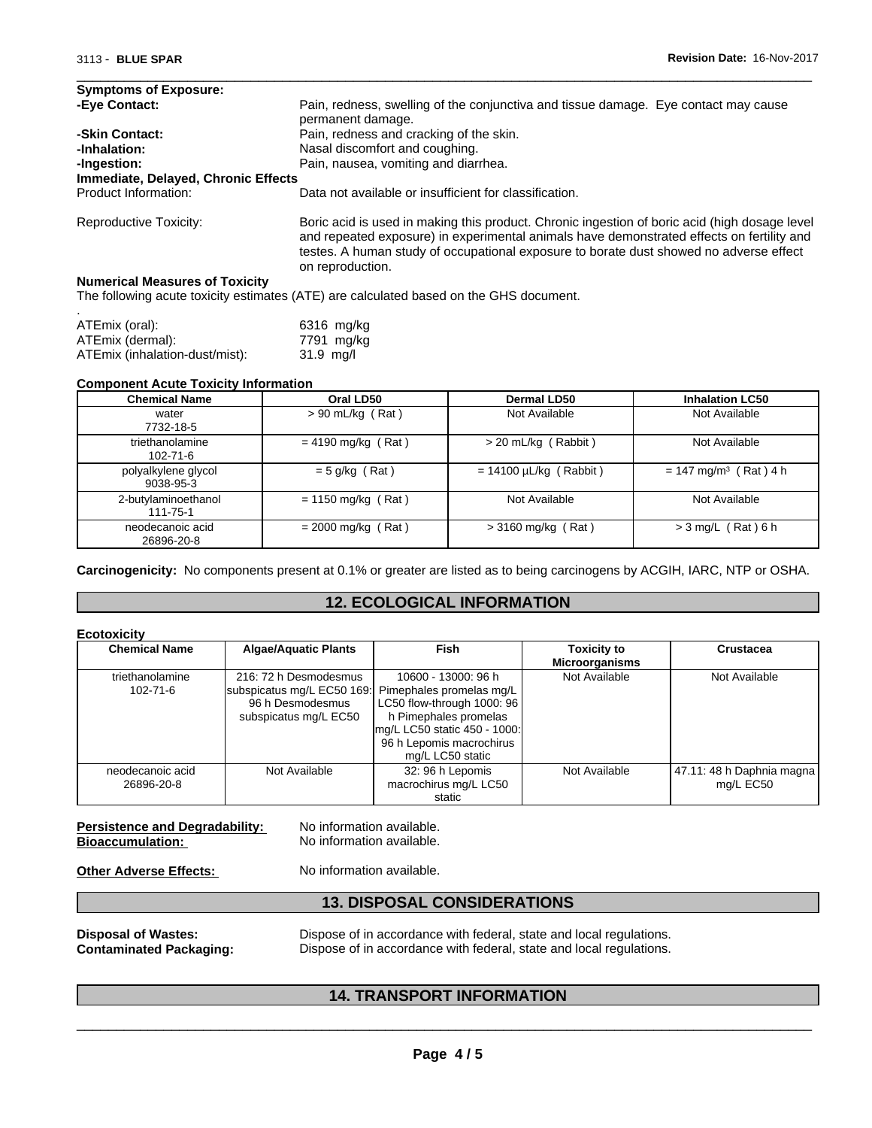| <b>Symptoms of Exposure:</b>                        |                                                                                                                                                                                                                                                                                                          |  |  |  |
|-----------------------------------------------------|----------------------------------------------------------------------------------------------------------------------------------------------------------------------------------------------------------------------------------------------------------------------------------------------------------|--|--|--|
| -Eye Contact:                                       | Pain, redness, swelling of the conjunctiva and tissue damage. Eye contact may cause<br>permanent damage.                                                                                                                                                                                                 |  |  |  |
| -Skin Contact:                                      | Pain, redness and cracking of the skin.                                                                                                                                                                                                                                                                  |  |  |  |
| -Inhalation:                                        | Nasal discomfort and coughing.                                                                                                                                                                                                                                                                           |  |  |  |
| Pain, nausea, vomiting and diarrhea.<br>-Ingestion: |                                                                                                                                                                                                                                                                                                          |  |  |  |
| Immediate, Delayed, Chronic Effects                 |                                                                                                                                                                                                                                                                                                          |  |  |  |
| Product Information:                                | Data not available or insufficient for classification.                                                                                                                                                                                                                                                   |  |  |  |
| Reproductive Toxicity:                              | Boric acid is used in making this product. Chronic ingestion of boric acid (high dosage level<br>and repeated exposure) in experimental animals have demonstrated effects on fertility and<br>testes. A human study of occupational exposure to borate dust showed no adverse effect<br>on reproduction. |  |  |  |
| <b>Numerical Measures of Toxicity</b>               |                                                                                                                                                                                                                                                                                                          |  |  |  |
|                                                     | The following acute toxicity estimates (ATE) are calculated based on the GHS document.                                                                                                                                                                                                                   |  |  |  |

 $\overline{\phantom{a}}$  ,  $\overline{\phantom{a}}$  ,  $\overline{\phantom{a}}$  ,  $\overline{\phantom{a}}$  ,  $\overline{\phantom{a}}$  ,  $\overline{\phantom{a}}$  ,  $\overline{\phantom{a}}$  ,  $\overline{\phantom{a}}$  ,  $\overline{\phantom{a}}$  ,  $\overline{\phantom{a}}$  ,  $\overline{\phantom{a}}$  ,  $\overline{\phantom{a}}$  ,  $\overline{\phantom{a}}$  ,  $\overline{\phantom{a}}$  ,  $\overline{\phantom{a}}$  ,  $\overline{\phantom{a}}$ 

| ATEmix (oral):                 | 6316 mg/kg  |
|--------------------------------|-------------|
| ATEmix (dermal):               | 7791 mg/kg  |
| ATEmix (inhalation-dust/mist): | $31.9$ ma/l |

#### **Component Acute Toxicity Information**

| <b>Chemical Name</b>              | Oral LD50            | <b>Dermal LD50</b>          | <b>Inhalation LC50</b>              |
|-----------------------------------|----------------------|-----------------------------|-------------------------------------|
| water<br>7732-18-5                | $> 90$ mL/kg (Rat)   | Not Available               | Not Available                       |
| triethanolamine<br>$102 - 71 - 6$ | $= 4190$ mg/kg (Rat) | $>$ 20 mL/kg (Rabbit)       | Not Available                       |
| polyalkylene glycol<br>9038-95-3  | $= 5$ g/kg (Rat)     | $= 14100 \mu L/kg$ (Rabbit) | $= 147$ mg/m <sup>3</sup> (Rat) 4 h |
| 2-butylaminoethanol<br>111-75-1   | $= 1150$ mg/kg (Rat) | Not Available               | Not Available                       |
| neodecanoic acid<br>26896-20-8    | $= 2000$ mg/kg (Rat) | $>$ 3160 mg/kg (Rat)        | $>$ 3 mg/L (Rat) 6 h                |

**Carcinogenicity:** No components present at 0.1% or greater are listed as to being carcinogens by ACGIH, IARC, NTP or OSHA.

# **12. ECOLOGICAL INFORMATION**

| <b>Ecotoxicity</b>                |                                                                                                                           |                                                                                                                                                            |                                             |                                        |
|-----------------------------------|---------------------------------------------------------------------------------------------------------------------------|------------------------------------------------------------------------------------------------------------------------------------------------------------|---------------------------------------------|----------------------------------------|
| <b>Chemical Name</b>              | <b>Algae/Aquatic Plants</b>                                                                                               | Fish                                                                                                                                                       | <b>Toxicity to</b><br><b>Microorganisms</b> | <b>Crustacea</b>                       |
| triethanolamine<br>$102 - 71 - 6$ | 216: 72 h Desmodesmus<br>subspicatus mg/L EC50 169: Pimephales promelas mg/L<br>96 h Desmodesmus<br>subspicatus mg/L EC50 | 10600 - 13000: 96 h<br>LC50 flow-through 1000: 96<br>h Pimephales promelas<br>mg/L LC50 static 450 - 1000:<br>96 h Lepomis macrochirus<br>mg/L LC50 static | Not Available                               | Not Available                          |
| neodecanoic acid<br>26896-20-8    | Not Available                                                                                                             | 32: 96 h Lepomis<br>macrochirus mg/L LC50<br>static                                                                                                        | Not Available                               | 47.11: 48 h Daphnia magna<br>mg/L EC50 |

| <b>Persistence and Degradability:</b> |  |
|---------------------------------------|--|
| <b>Bioaccumulation:</b>               |  |

No information available. **No information available.** 

**Other Adverse Effects:** No information available.

# **13. DISPOSAL CONSIDERATIONS**

**Disposal of Wastes:** Dispose of in accordance with federal, state and local regulations.<br>**Contaminated Packaging:** Dispose of in accordance with federal, state and local regulations. Dispose of in accordance with federal, state and local regulations.

 $\overline{\phantom{a}}$  ,  $\overline{\phantom{a}}$  ,  $\overline{\phantom{a}}$  ,  $\overline{\phantom{a}}$  ,  $\overline{\phantom{a}}$  ,  $\overline{\phantom{a}}$  ,  $\overline{\phantom{a}}$  ,  $\overline{\phantom{a}}$  ,  $\overline{\phantom{a}}$  ,  $\overline{\phantom{a}}$  ,  $\overline{\phantom{a}}$  ,  $\overline{\phantom{a}}$  ,  $\overline{\phantom{a}}$  ,  $\overline{\phantom{a}}$  ,  $\overline{\phantom{a}}$  ,  $\overline{\phantom{a}}$ 

# **14. TRANSPORT INFORMATION**